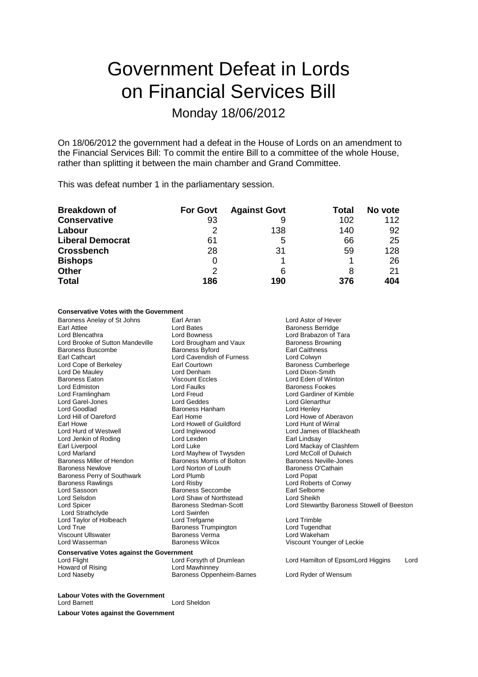# Government Defeat in Lords on Financial Services Bill

### Monday 18/06/2012

On 18/06/2012 the government had a defeat in the House of Lords on an amendment to the Financial Services Bill: To commit the entire Bill to a committee of the whole House, rather than splitting it between the main chamber and Grand Committee.

This was defeat number 1 in the parliamentary session.

| <b>Breakdown of</b>     | <b>For Govt</b> | <b>Against Govt</b> | Total | No vote |
|-------------------------|-----------------|---------------------|-------|---------|
| <b>Conservative</b>     | 93              |                     | 102   | 112     |
| Labour                  |                 | 138                 | 140   | 92      |
| <b>Liberal Democrat</b> | 61              | 5                   | 66    | 25      |
| <b>Crossbench</b>       | 28              | 31                  | 59    | 128     |
| <b>Bishops</b>          | 0               |                     |       | 26      |
| <b>Other</b>            | 2               | 6                   |       | 21      |
| <b>Total</b>            | 186             | 190                 | 376   | 404     |

### **Conservative Votes with the Government**

Baroness Anelay of St Johns Earl Arran Earl Arran Lord Astor of Hever<br>
Earl Attlee Carl Attlee Corpus Lord Bates<br>
Earl Attlee Corpus Lord Bates Earl Attlee **Earl Attlee** Lord Bates **Earl Attlee Lord Bates** Baroness Berridge Lord Baroness Berridge Lord Brabazon of T Lord Brooke of Sutton Mandeville Lord Brougham and Vaux Baroness Brow<br>Baroness Buscombe Baroness Byford Baroness Byford Baroness Buscombe **Baroness Byford** Earl Caithness<br>
Earl Cathcart **Earl Cathcart**<br>
Lord Cavendish of Furness<br>
Lord Colwyn Lord Cope of Berkeley Earl Courtown<br>
Lord De Mauley **Earl Courtown** Lord De Mauley Lord Denham Lord Dixon-Smith Lord Edmiston Lord Faulks Baroness Fookes Lord Garel-Jones Lord Geddes Lord Geddes Lord Genarthur Lord Genarthur Lord Genarthur Lord Henley<br>
Lord Goodlad **Baroness Hanham** Lord Henley Lord Goodlad **Baroness Hanham**<br> **Baroness Hanham**<br>
Lord Hill of Oareford **Baroness** Earl Home Lord Hill of Oareford **Earl Home** Earl Home Lord Howe of Aberavon<br>
Earl Howe Cord Howel of Guildford Lord Hunt of Wirral Earl Howe Lord Howell of Guildford<br>
Lord Hurd of Westwell Lord Inalewood Lord Jenkin of Roding The Lord Lexden<br>
Lord Luke<br>
Lord Luke Earl Liverpool <sup>T</sup><br>
Lord Mackay of Clashfern<br>
Lord Mackay Lord Mayhew of Twysden<br>
Lord McColl of Dulwich Baroness Miller of Hendon Baroness Newlove **Lord Norton of Louth** Baroness O'Cathain<br>
Baroness Perry of Southwark Lord Plumb<br>
Lord Popat Baroness Perry of Southwark Lord Plumb Lord Risby<br>Baroness Rawlings Lord Risby Baroness Rawlings Lord Risby Lord Roberts of Conwy Lord Selsdon **Lord Shaw of Northstead** Lord Sheikh<br>
Lord Spicer **Lord Sheikh**<br>
Lord Stewan<br>
Baroness Stedman-Scott Lord Stewan Lord Strathclyde **Lord Swinfen**<br>
Lord Taylor of Holbeach **Lord Trefgarne** Lord Taylor of Holbeach Lord Trefgarne Lord Trimble Lord True Lord Tugendhat<br>
Viscount Ullswater Baroness Verma Lord Wakeham Viscount Ullswater **Baroness Vermanness** Vermanness Vermanness Vermanness Vermanness Wilcox

Lord Bowness<br>
Lord Brougham and Vaux<br>
Baroness Browning **Lord Cavendish of Furness Lord Colwyn<br>
Earl Courtown Carry Baroness Cumberlege** Lord Freud **Lord Gardiner of Kimble**<br>
Lord Geddes **Lord Glenarthur** Lord Mayhew of Twysden Lord McColl of Dulwich<br>Baroness Morris of Bolton Baroness Neville-Jones **Baroness Seccombe** 

Lord Eden of Winton Lord James of Blackheath<br>Earl Lindsay Baroness Stedman-Scott Lord Stewartby Baroness Stowell of Beeston<br>Lord Swinfen

Viscount Younger of Leckie

**Conservative Votes against the Government**<br>Lord Flight Lord Corsyth of Drumlean

Lord Flight **Lord Forsyth of Drumlean** Lord Hamilton of EpsomLord Higgins Lord<br>
Howard of Rising **Lord Mamilton Corporation** Howard of Rising **Howard of Rising Community**<br>
Lord Naseby **Community**<br>
Baroness Opper Baroness Oppenheim-Barnes Lord Ryder of Wensum

**Labour Votes with the Government** Lord Sheldon

**Labour Votes against the Government**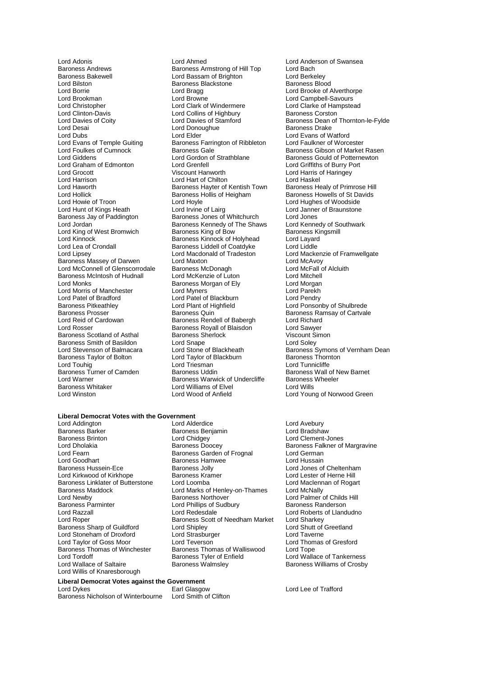Lord Adonis Lord Ahmed Lord Anderson of Swansea Baroness Andrews **Baroness Armstrong of Hill Top** Lord Bach<br>Baroness Bakewell **Bach Lord Bassam of Brighton** Lord Berkeley Baroness Bakewell **Example 2 Lord Bassam of Brighton** Cord Berkeley<br>
Lord Bilston **Baroness Backstone** Baroness Blood<br>
Baroness Blood Lord Bilston Baroness Blackstone<br>
Lord Borrie Baroness Blackstone<br>
Lord Bragg Lord Borrie Lord Bragg Lord Brooke of Alverthorpe Lord Brookman Lord Brookman Lord Browne Lord Campbell-Savours<br>
Lord Christopher Lord Clark of Windermere Lord Clarke of Hampstead Lord Christopher **Lord Clark of Windermere** Lord Clarke of Hampster Clarke of Hampstead Lord Clarke of Hampstead Clarke of Hampstead Lord Collins of Highbury **Collins Clarke Containers** Conston Lord Clinton-Davis **Lord Collins of Highbury**<br>
Lord Davies of Coity<br>
Lord Davies of Stamford Lord Desai Lord Donoughue<br>
Lord Dubs<br>
Lord Elder Lord Dubs<br>
Lord Evans of Temple Guiting Lord Elder<br>
Lord Evans of Temple Guiting Baroness Farrington of Ribbleton Lord Faulkner of Worcester Lord Evans of Temple Guiting Baroness Farrington of Ribbleton<br>Lord Foulkes of Cumnock Baroness Gale Lord Foulkes of Cumnock **Baroness Gale** Baroness Gale Baroness Gibson of Market Rasen<br>
Baroness Gould of Potternewton<br>
Lord Gordon of Strathblane Baroness Gould of Potternewton Lord Graham of Edmonton Lord Grenfell<br>
Lord Grocott Corol Burry Port Burry Port Burry Port Burry Port Burry Port Burry Port Burry Port Burry Port Burry Port Burry Port Burry Port Burry Port Burry Port Burry Port Burry Port Lord Grocott Viscount Hanworth Lord Harris of Haringey Lord Harrison **Lord Hart of Chilton**<br>
Lord Haworth **Lord Hart Communist Communist Communist** Baroness Hayter of Kentish Town Lord Haworth Baroness Hayter of Kentish Town Baroness Healy of Primrose Hill Lord Hollick Baroness Hollis of Heigham<br>
Lord Howells of Troon<br>
Lord Hoyle Lord Howie of Troon Lord Hoyle Lord Hoyle Lord Hughes of Woodside<br>
Lord Hughes of Woodside Lord Irvine of Lairg<br>
Lord Janner of Braunstone Lord Hunt of Kings Heath **Lord Irvine of Lairg** Lord Janner of Braunstone<br>
Baroness Jay of Paddington Baroness Jones of Whitchurch Lord Jones Baroness Jay of Paddington Baroness Jones of Whitchurch Lord Jones<br>
Lord Jordan **Baroness Kennedy of The Shaws** Lord Kennedy of Southwark Lord King of West Bromwich<br>Lord Kinnock Baroness King of Bow Baroness King<br>Lord Kinnock Baroness Kinnock of Holyhead Lord Layard Lord Kinnock **Baroness Kinnock of Holyhead** Lord Layard<br>
Lord Lea of Crondall **Baroness Liddell of Coatdyke** Lord Liddle Lord Lea of Crondall Baroness Liddell of Coatdyke<br>
Lord Lipsev<br>
Lord Macdonald of Tradeston Baroness Massey of Darwen Lord Maxton Lord McAvoy Lord McConnell of Glenscorrodale Baroness McDonagh Cord McFall Cord McFall Cord Michell<br>Baroness McIntosh of Hudnall Lord McKenzie of Luton Cord Mitchell Baroness McIntosh of Hudnall Lord McKenzie of Luton Lord Mitchell<br>Lord Monks Caroness Morgan of Ely Lord Morgan Lord Morris of Manchester Lord Myners Cord Parekh Lord Parekh<br>
Lord Patel of Bradford Lord Patel of Blackburn Lord Pendry Lord Patel of Bradford Lord Patel of Blackburn<br>
Baroness Pitkeathley Lord Plant of Highfield Baroness Pitkeathley **Lord Plant of Highfield** Lord Ponsonby of Shulbrede Baroness Prosser **Consoling Baroness Community**<br>Baroness Prosser **Baroness Quin** Baroness Ramsay of Cartvale Baroness Prosser **Baroness American** Baroness Quin Baroness Ramsay of Cartvale<br>
Baroness Rendell of Babergh Lord Richard<br>
Lord Richard Lord Reid of Cardowan **Baroness Rendell of Babergh** Lord Richard<br>
Lord Rosser **Baroness Royall of Blaisdon** Lord Sawyer Baroness Scotland of Asthal Baroness Sherlock Controller Scotland Scotland Sherlock Controller Sherlock Controller<br>Baroness Smith of Basildon Controller Controller Controller Sherlock Controller Controller Controller Contr Baroness Smith of Basildon<br>
Lord Stevenson of Balmacara<br>
Lord Stone of Blackheath Baroness Taylor of Bolton Lord Taylor of Blackburn Baroness Thorness Thorness Thorness Thorness Thorness Thorn<br>
Lord Touhig Lord Tunnicliffe Lord Touhig Lord Tunnicliffe<br>
Baroness Turner of Camden Baroness Uddin Baroness Wall of New Barnet Baroness Turner of Camden Baroness Uddin Baroness Wall of New Baroness Wall of New Baroness Wall of New Baroness Wheeler Lord Warner<br>
Baroness Whitaker<br>
Lord Williams of Elvel<br>
Lord Williams of Elvel Baroness Whitaker **Lord Williams of Elvel** Lord Wills<br>
Lord Winston **Lord Wills Lord Wood of Anfield** Lord Youn

Lord Gordon of Strathblane Baroness Gould of Potternewton<br>
Lord Grenfell<br>
Lord Griffiths of Burry Port Baroness Kennedy of The Shaws Lord Kennedy of Sc<br>Baroness King of Bow Baroness Kingsmill Lord Macdonald of Tradeston Lord Mackenzie of Framwellgate<br>
Lord Maxton Lord McAvoy Earoness Morgan of Ely **Lord Morgan Lord Morgan**<br>Lord Myners **Lord Parekh** Baroness Royall of Blaisdon Lord Sawyer<br>
Baroness Sherlock Corp Viscount Simon

#### **Liberal Democrat Votes with the Government**

Baroness Barker Baroness Benjamin<br>Baroness Brinton Baroness Brad Brad Bradshaw Baroness Brinton Lord Chidgey Lord Clement-Jones Lord Dholakia **Baroness Doocey** Baroness Halkner of Margravine<br>
Lord Fearn **Baroness Garden of Frognal** Lord German Lord Fearn **Example 2** Exercise Garden of Frognal Lord German<br>
Lord Goodhart **Baroness Hamwee** Lord Hussain Lord Goodhart **Baroness Hamwee**<br>
Baroness Hussein-Ece **Baroness** Jolly Lord Kirkwood of Kirkhope **Baroness Kramer** Lord Lester of Herne Hill<br>Baroness Linklater of Butterstone Lord Loomba **Lord Lord Maclennan of Rogart** Baroness Linklater of Butterstone Lord Loomba Lord Durennes Lord Maclenn<br>Baroness Maddock Lord Marks of Henley-on-Thames Lord McNally Baroness Maddock Lord Marks of Henley-on-Thames<br>
Lord Newby<br>
Lord Newby Lord Newby **Baroness Northover** Lord Palmer of Childs Hill<br>Baroness Northover Lord Palmer of Childs Hill<br>Baroness Parminter Lord Phillips of Sudbury **Baroness Randerson** Lord Razzall Lord Redesdale Lord Roberts of Llandudno Baroness Sharp of Guildford Lord Shipley Cord Shout of Lord Shutt of Lord Shutt of Lord Shout Cord Shout Cord Shout Lord Taverne Lord Stoneham of Droxford Lord Strasburger Lord Taverne Lord Taylor of Goss Moor Lord Teverson<br>
Baroness Thomas of Winchester Baroness Thomas of Walliswood Lord Tope Baroness Thomas of Winchester Baroness Thomas of Walliswood<br>
Lord Tordoff Baroness Tyler of Enfield Lord Tordoff **Baroness Tyler of Enfield** Lord Wallace of Tankerness<br>
Lord Wallace of Saltaire **Lord Wallace of Saltaire** Baroness Walmsley **Baroness Wallace of Crosby** Lord Willis of Knaresborough

**Liberal Democrat Votes against the Government**

Lord Dykes **Earl Glasgow** Earl Glasgow Lord Lee of Trafford Earl Olympic Lord Lee of Trafford Baroness Nicholson of Winterbourne Lord Smith of Clifton Baroness Nicholson of Winterbourne

Lord Addington Lord Alderdice Lord Avebury Baroness Jolly **Communist Communist Communist Communist Communist Communist Communist Communist Communist Communist Communist Communist Communist Communist Communist Communist Communist Communist Communist Communist Commun** Lord Phillips of Sudbury<br>Lord Redesdale Baroness Scott of Needham Market Lord Sharkey<br>Lord Shutt of Greetland

Lord Davies of Coity<br>
Lord Davies of Coity<br>
Lord Donoughue Baroness Drake<br>
Baroness Drake<br>
Baroness Drake Lord Stone of Blackheath Baroness Symons of Vernham Dean<br>
Lord Taylor of Blackburn Baroness Thornton Lord Young of Norwood Green

Baroness Williams of Crosby